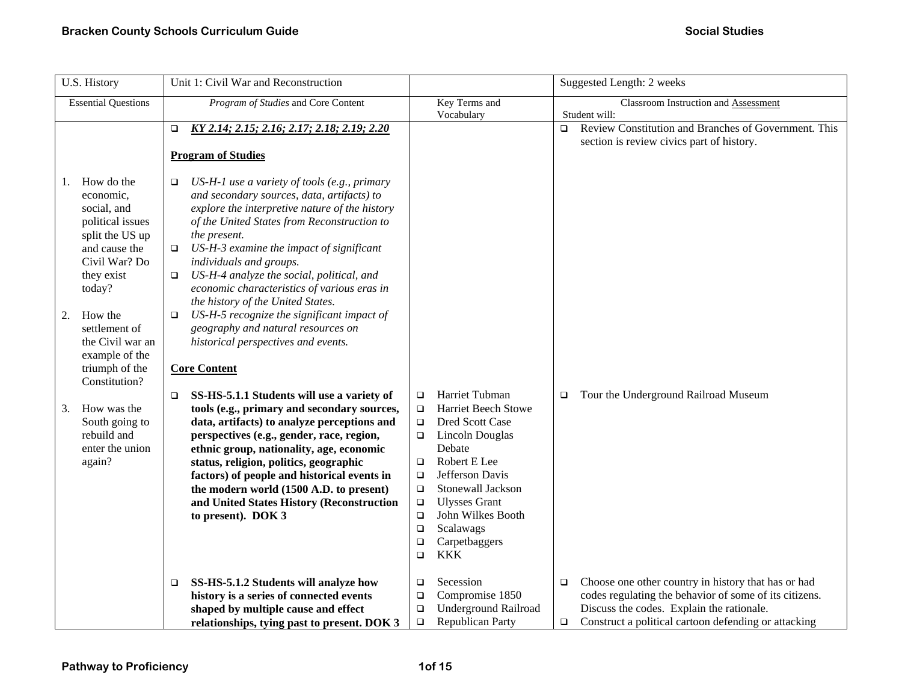| U.S. History                                                                                                                                                                                                                                             | Unit 1: Civil War and Reconstruction                                                                                                                                                                                                                                                                                                                                                                                                                                                                                                                                                                          |                                                                                                                                                                                                                                                                                                                                                                  | Suggested Length: 2 weeks                                                                                                                                                                                                              |
|----------------------------------------------------------------------------------------------------------------------------------------------------------------------------------------------------------------------------------------------------------|---------------------------------------------------------------------------------------------------------------------------------------------------------------------------------------------------------------------------------------------------------------------------------------------------------------------------------------------------------------------------------------------------------------------------------------------------------------------------------------------------------------------------------------------------------------------------------------------------------------|------------------------------------------------------------------------------------------------------------------------------------------------------------------------------------------------------------------------------------------------------------------------------------------------------------------------------------------------------------------|----------------------------------------------------------------------------------------------------------------------------------------------------------------------------------------------------------------------------------------|
| <b>Essential Questions</b>                                                                                                                                                                                                                               | Program of Studies and Core Content                                                                                                                                                                                                                                                                                                                                                                                                                                                                                                                                                                           | Key Terms and<br>Vocabulary                                                                                                                                                                                                                                                                                                                                      | Classroom Instruction and Assessment<br>Student will:                                                                                                                                                                                  |
|                                                                                                                                                                                                                                                          | KY 2.14; 2.15; 2.16; 2.17; 2.18; 2.19; 2.20<br>$\Box$<br><b>Program of Studies</b>                                                                                                                                                                                                                                                                                                                                                                                                                                                                                                                            |                                                                                                                                                                                                                                                                                                                                                                  | Review Constitution and Branches of Government. This<br>$\Box$<br>section is review civics part of history.                                                                                                                            |
| How do the<br>1.<br>economic,<br>social, and<br>political issues<br>split the US up<br>and cause the<br>Civil War? Do<br>they exist<br>today?<br>How the<br>2.<br>settlement of<br>the Civil war an<br>example of the<br>triumph of the<br>Constitution? | US-H-1 use a variety of tools (e.g., primary<br>$\Box$<br>and secondary sources, data, artifacts) to<br>explore the interpretive nature of the history<br>of the United States from Reconstruction to<br>the present.<br>US-H-3 examine the impact of significant<br>$\Box$<br>individuals and groups.<br>US-H-4 analyze the social, political, and<br>$\Box$<br>economic characteristics of various eras in<br>the history of the United States.<br>US-H-5 recognize the significant impact of<br>$\Box$<br>geography and natural resources on<br>historical perspectives and events.<br><b>Core Content</b> |                                                                                                                                                                                                                                                                                                                                                                  |                                                                                                                                                                                                                                        |
| How was the<br>3.<br>South going to<br>rebuild and<br>enter the union<br>again?                                                                                                                                                                          | SS-HS-5.1.1 Students will use a variety of<br>$\Box$<br>tools (e.g., primary and secondary sources,<br>data, artifacts) to analyze perceptions and<br>perspectives (e.g., gender, race, region,<br>ethnic group, nationality, age, economic<br>status, religion, politics, geographic<br>factors) of people and historical events in<br>the modern world (1500 A.D. to present)<br>and United States History (Reconstruction<br>to present). DOK 3                                                                                                                                                            | Harriet Tubman<br>$\Box$<br><b>Harriet Beech Stowe</b><br>$\Box$<br>Dred Scott Case<br>$\Box$<br>Lincoln Douglas<br>о<br>Debate<br>Robert E Lee<br>$\Box$<br>Jefferson Davis<br>$\Box$<br>Stonewall Jackson<br>$\Box$<br><b>Ulysses Grant</b><br>$\Box$<br>John Wilkes Booth<br>$\Box$<br>Scalawags<br>$\Box$<br>Carpetbaggers<br>$\Box$<br><b>KKK</b><br>$\Box$ | Tour the Underground Railroad Museum<br>$\Box$                                                                                                                                                                                         |
|                                                                                                                                                                                                                                                          | SS-HS-5.1.2 Students will analyze how<br>□<br>history is a series of connected events<br>shaped by multiple cause and effect<br>relationships, tying past to present. DOK 3                                                                                                                                                                                                                                                                                                                                                                                                                                   | Secession<br>$\Box$<br>Compromise 1850<br>$\Box$<br><b>Underground Railroad</b><br>$\Box$<br><b>Republican Party</b><br>$\Box$                                                                                                                                                                                                                                   | Choose one other country in history that has or had<br>$\Box$<br>codes regulating the behavior of some of its citizens.<br>Discuss the codes. Explain the rationale.<br>Construct a political cartoon defending or attacking<br>$\Box$ |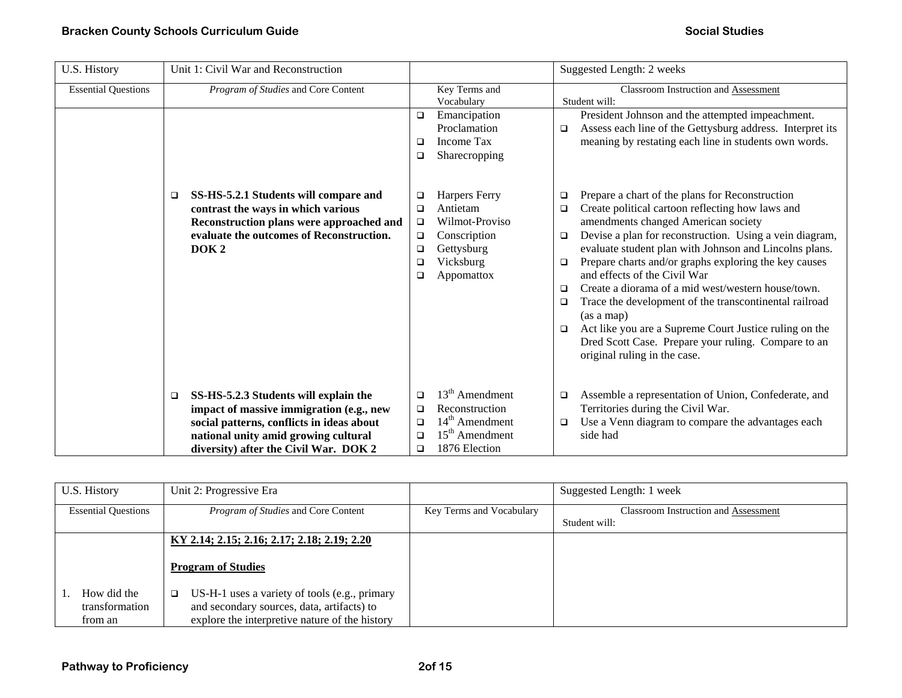| U.S. History               | Unit 1: Civil War and Reconstruction                                                                                                                                                                                      |                                                                                                                                                        | Suggested Length: 2 weeks                                                                                                                                                                                                                                                                                                                                                                                                                                                                                                                                                                                                                                                                 |  |
|----------------------------|---------------------------------------------------------------------------------------------------------------------------------------------------------------------------------------------------------------------------|--------------------------------------------------------------------------------------------------------------------------------------------------------|-------------------------------------------------------------------------------------------------------------------------------------------------------------------------------------------------------------------------------------------------------------------------------------------------------------------------------------------------------------------------------------------------------------------------------------------------------------------------------------------------------------------------------------------------------------------------------------------------------------------------------------------------------------------------------------------|--|
| <b>Essential Questions</b> | Program of Studies and Core Content                                                                                                                                                                                       | Key Terms and<br>Vocabulary                                                                                                                            | Classroom Instruction and Assessment<br>Student will:                                                                                                                                                                                                                                                                                                                                                                                                                                                                                                                                                                                                                                     |  |
|                            |                                                                                                                                                                                                                           | Emancipation<br>$\Box$<br>Proclamation<br><b>Income Tax</b><br>□<br>Sharecropping<br>❏                                                                 | President Johnson and the attempted impeachment.<br>Assess each line of the Gettysburg address. Interpret its<br>□<br>meaning by restating each line in students own words.                                                                                                                                                                                                                                                                                                                                                                                                                                                                                                               |  |
|                            | SS-HS-5.2.1 Students will compare and<br>□<br>contrast the ways in which various<br>Reconstruction plans were approached and<br>evaluate the outcomes of Reconstruction.<br>DOK <sub>2</sub>                              | Harpers Ferry<br>□<br>Antietam<br>❏<br>Wilmot-Proviso<br>$\Box$<br>Conscription<br>□<br>Gettysburg<br>$\Box$<br>Vicksburg<br>□<br>Appomattox<br>$\Box$ | Prepare a chart of the plans for Reconstruction<br>$\Box$<br>Create political cartoon reflecting how laws and<br>□<br>amendments changed American society<br>Devise a plan for reconstruction. Using a vein diagram,<br>▫<br>evaluate student plan with Johnson and Lincolns plans.<br>Prepare charts and/or graphs exploring the key causes<br>▫<br>and effects of the Civil War<br>Create a diorama of a mid west/western house/town.<br>□<br>Trace the development of the transcontinental railroad<br>$\Box$<br>(as a map)<br>Act like you are a Supreme Court Justice ruling on the<br>$\Box$<br>Dred Scott Case. Prepare your ruling. Compare to an<br>original ruling in the case. |  |
|                            | SS-HS-5.2.3 Students will explain the<br>$\Box$<br>impact of massive immigration (e.g., new<br>social patterns, conflicts in ideas about<br>national unity amid growing cultural<br>diversity) after the Civil War. DOK 2 | $13th$ Amendment<br>□<br>Reconstruction<br>□<br>$14th$ Amendment<br>□<br>$15th$ Amendment<br>□<br>1876 Election<br>$\Box$                              | Assemble a representation of Union, Confederate, and<br>o<br>Territories during the Civil War.<br>Use a Venn diagram to compare the advantages each<br>▫<br>side had                                                                                                                                                                                                                                                                                                                                                                                                                                                                                                                      |  |

| U.S. History                             | Unit 2: Progressive Era                                                                                                                                 |                          | Suggested Length: 1 week                                     |
|------------------------------------------|---------------------------------------------------------------------------------------------------------------------------------------------------------|--------------------------|--------------------------------------------------------------|
| <b>Essential Questions</b>               | <i>Program of Studies</i> and Core Content                                                                                                              | Key Terms and Vocabulary | <b>Classroom Instruction and Assessment</b><br>Student will: |
|                                          | KY 2.14; 2.15; 2.16; 2.17; 2.18; 2.19; 2.20<br><b>Program of Studies</b>                                                                                |                          |                                                              |
| How did the<br>transformation<br>from an | US-H-1 uses a variety of tools (e.g., primary<br>$\Box$<br>and secondary sources, data, artifacts) to<br>explore the interpretive nature of the history |                          |                                                              |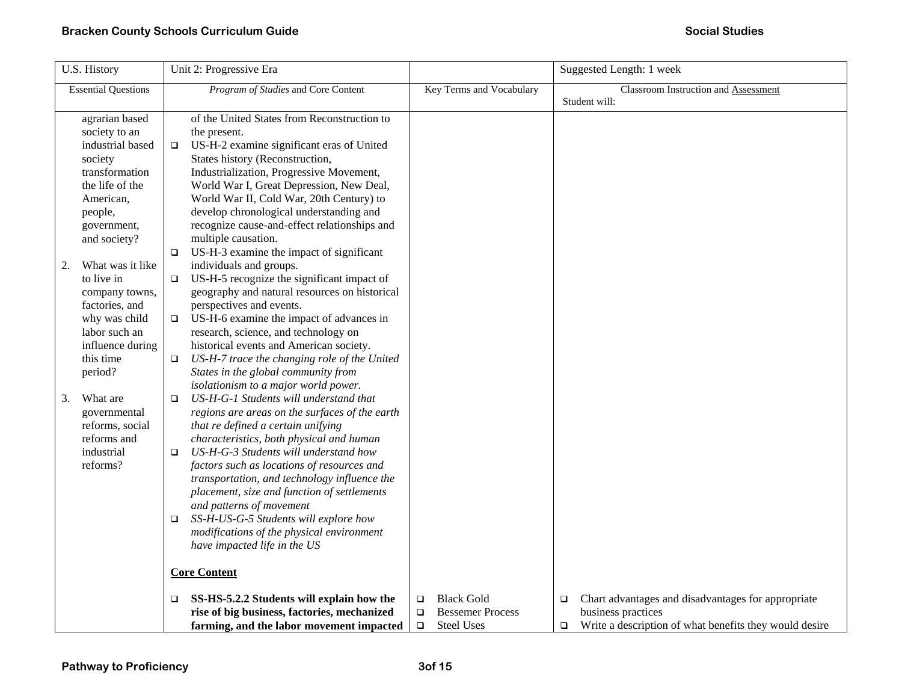| U.S. History                                                                                                                                               | Unit 2: Progressive Era                                                                                                                                                                                                                                                                                                                                                                                                                                                                                                                          |                                                                                                 | Suggested Length: 1 week                                                                                                                               |
|------------------------------------------------------------------------------------------------------------------------------------------------------------|--------------------------------------------------------------------------------------------------------------------------------------------------------------------------------------------------------------------------------------------------------------------------------------------------------------------------------------------------------------------------------------------------------------------------------------------------------------------------------------------------------------------------------------------------|-------------------------------------------------------------------------------------------------|--------------------------------------------------------------------------------------------------------------------------------------------------------|
| <b>Essential Questions</b>                                                                                                                                 | Program of Studies and Core Content                                                                                                                                                                                                                                                                                                                                                                                                                                                                                                              | Key Terms and Vocabulary                                                                        | <b>Classroom Instruction and Assessment</b><br>Student will:                                                                                           |
| agrarian based<br>society to an<br>industrial based<br>society<br>transformation<br>the life of the<br>American,<br>people,<br>government,<br>and society? | of the United States from Reconstruction to<br>the present.<br>US-H-2 examine significant eras of United<br>$\Box$<br>States history (Reconstruction,<br>Industrialization, Progressive Movement,<br>World War I, Great Depression, New Deal,<br>World War II, Cold War, 20th Century) to<br>develop chronological understanding and<br>recognize cause-and-effect relationships and<br>multiple causation.<br>US-H-3 examine the impact of significant<br>$\Box$                                                                                |                                                                                                 |                                                                                                                                                        |
| What was it like<br>2.<br>to live in<br>company towns,<br>factories, and<br>why was child<br>labor such an<br>influence during<br>this time<br>period?     | individuals and groups.<br>US-H-5 recognize the significant impact of<br>$\Box$<br>geography and natural resources on historical<br>perspectives and events.<br>US-H-6 examine the impact of advances in<br>$\Box$<br>research, science, and technology on<br>historical events and American society.<br>US-H-7 trace the changing role of the United<br>$\Box$<br>States in the global community from<br>isolationism to a major world power.                                                                                                   |                                                                                                 |                                                                                                                                                        |
| What are<br>3.<br>governmental<br>reforms, social<br>reforms and<br>industrial<br>reforms?                                                                 | US-H-G-1 Students will understand that<br>$\Box$<br>regions are areas on the surfaces of the earth<br>that re defined a certain unifying<br>characteristics, both physical and human<br>US-H-G-3 Students will understand how<br>$\Box$<br>factors such as locations of resources and<br>transportation, and technology influence the<br>placement, size and function of settlements<br>and patterns of movement<br>SS-H-US-G-5 Students will explore how<br>$\Box$<br>modifications of the physical environment<br>have impacted life in the US |                                                                                                 |                                                                                                                                                        |
|                                                                                                                                                            | <b>Core Content</b>                                                                                                                                                                                                                                                                                                                                                                                                                                                                                                                              |                                                                                                 |                                                                                                                                                        |
|                                                                                                                                                            | SS-HS-5.2.2 Students will explain how the<br>$\Box$<br>rise of big business, factories, mechanized<br>farming, and the labor movement impacted                                                                                                                                                                                                                                                                                                                                                                                                   | <b>Black Gold</b><br>$\Box$<br><b>Bessemer Process</b><br>$\Box$<br><b>Steel Uses</b><br>$\Box$ | Chart advantages and disadvantages for appropriate<br>$\Box$<br>business practices<br>Write a description of what benefits they would desire<br>$\Box$ |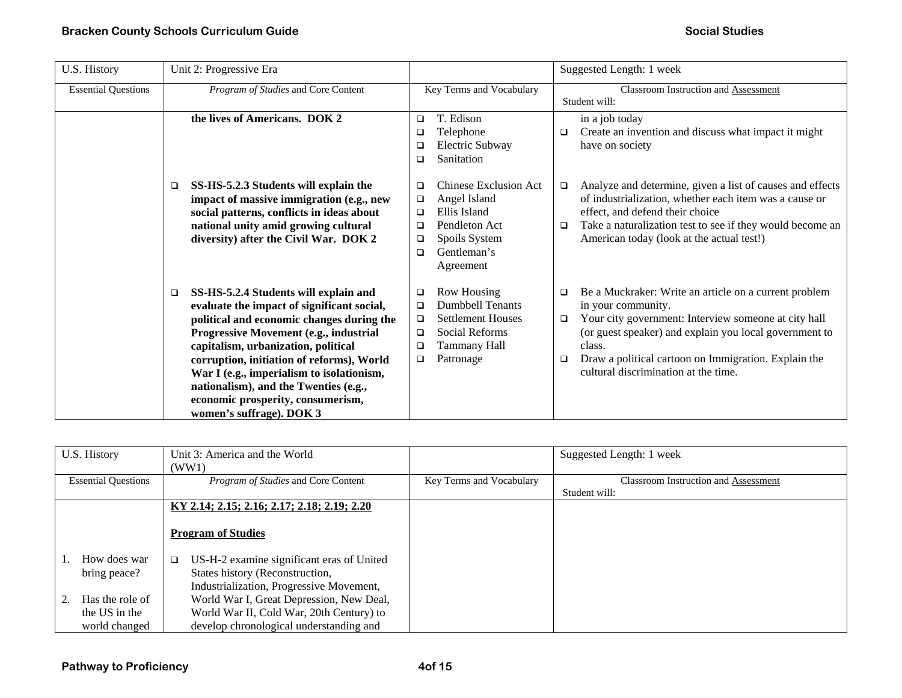| U.S. History               | Unit 2: Progressive Era                                                                                                                                                                                                                                                                                                                                                                                                         | Suggested Length: 1 week                                                                                                                                                                                                                                                                                                                                                                                                                                                                             |
|----------------------------|---------------------------------------------------------------------------------------------------------------------------------------------------------------------------------------------------------------------------------------------------------------------------------------------------------------------------------------------------------------------------------------------------------------------------------|------------------------------------------------------------------------------------------------------------------------------------------------------------------------------------------------------------------------------------------------------------------------------------------------------------------------------------------------------------------------------------------------------------------------------------------------------------------------------------------------------|
| <b>Essential Questions</b> | Program of Studies and Core Content                                                                                                                                                                                                                                                                                                                                                                                             | <b>Classroom Instruction and Assessment</b><br>Key Terms and Vocabulary<br>Student will:                                                                                                                                                                                                                                                                                                                                                                                                             |
|                            | the lives of Americans. DOK 2                                                                                                                                                                                                                                                                                                                                                                                                   | T. Edison<br>in a job today<br>$\Box$<br>Create an invention and discuss what impact it might<br>Telephone<br>□<br>□<br>Electric Subway<br>have on society<br>□<br>Sanitation<br>□                                                                                                                                                                                                                                                                                                                   |
|                            | SS-HS-5.2.3 Students will explain the<br>□<br>impact of massive immigration (e.g., new<br>social patterns, conflicts in ideas about<br>national unity amid growing cultural<br>diversity) after the Civil War. DOK 2                                                                                                                                                                                                            | Chinese Exclusion Act<br>Analyze and determine, given a list of causes and effects<br>$\Box$<br>of industrialization, whether each item was a cause or<br>Angel Island<br>□<br>Ellis Island<br>effect, and defend their choice<br>□<br>Take a naturalization test to see if they would become an<br>Pendleton Act<br>$\Box$<br>□<br>American today (look at the actual test!)<br>Spoils System<br>□<br>Gentleman's<br>□<br>Agreement                                                                 |
|                            | SS-HS-5.2.4 Students will explain and<br>$\Box$<br>evaluate the impact of significant social,<br>political and economic changes during the<br>Progressive Movement (e.g., industrial<br>capitalism, urbanization, political<br>corruption, initiation of reforms), World<br>War I (e.g., imperialism to isolationism,<br>nationalism), and the Twenties (e.g.,<br>economic prosperity, consumerism,<br>women's suffrage). DOK 3 | <b>Row Housing</b><br>Be a Muckraker: Write an article on a current problem<br>❏<br>□<br><b>Dumbbell Tenants</b><br>in your community.<br>□<br>Your city government: Interview someone at city hall<br><b>Settlement Houses</b><br>$\Box$<br>$\Box$<br>Social Reforms<br>(or guest speaker) and explain you local government to<br>$\Box$<br>Tammany Hall<br>class.<br>□<br>Draw a political cartoon on Immigration. Explain the<br>Patronage<br>$\Box$<br>□<br>cultural discrimination at the time. |

| U.S. History<br>Unit 3: America and the World<br>(WW1) |                                                                                                                                    |                          | Suggested Length: 1 week                                     |
|--------------------------------------------------------|------------------------------------------------------------------------------------------------------------------------------------|--------------------------|--------------------------------------------------------------|
| <b>Essential Questions</b>                             | <i>Program of Studies</i> and Core Content                                                                                         | Key Terms and Vocabulary | <b>Classroom Instruction and Assessment</b><br>Student will: |
|                                                        | KY 2.14; 2.15; 2.16; 2.17; 2.18; 2.19; 2.20                                                                                        |                          |                                                              |
|                                                        | <b>Program of Studies</b>                                                                                                          |                          |                                                              |
| How does war<br>bring peace?                           | US-H-2 examine significant eras of United<br>$\Box$<br>States history (Reconstruction,<br>Industrialization, Progressive Movement, |                          |                                                              |
| Has the role of<br>the US in the<br>world changed      | World War I, Great Depression, New Deal,<br>World War II, Cold War, 20th Century) to<br>develop chronological understanding and    |                          |                                                              |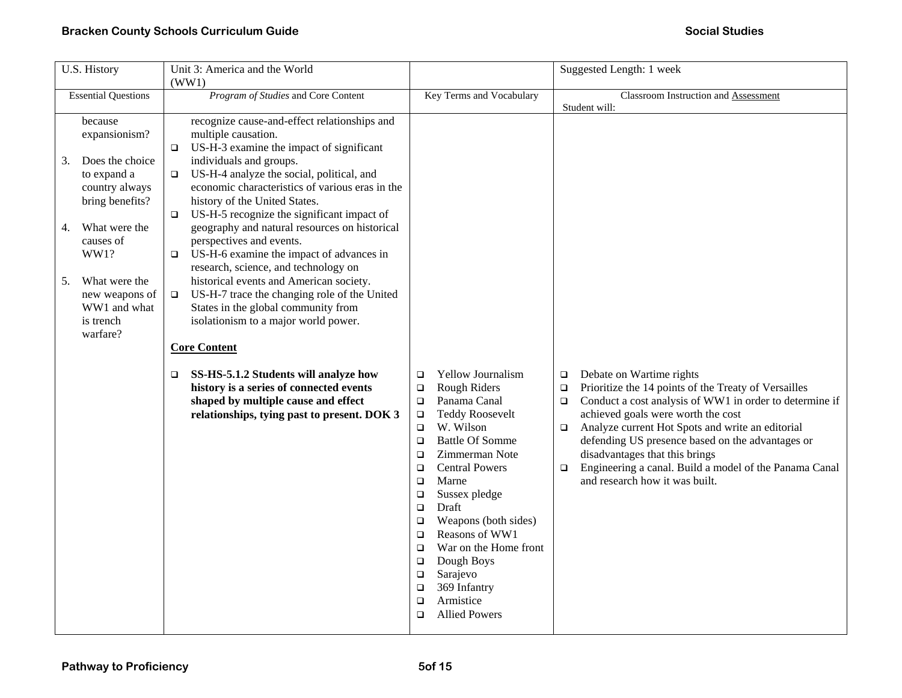| U.S. History                                                                                                                                                                                                                                                                           | Unit 3: America and the World                                                                                                                                                                                                                                                                                                                                                                                                                                                                                                                                                                                                                                                                                                                                                                                                                                         | Suggested Length: 1 week                                                                                                                                                                                                                                                                                                                                                                                                                                                                                                                         |                                                                                                                                                                                                                                                                                                                                                                                                                                                                           |  |
|----------------------------------------------------------------------------------------------------------------------------------------------------------------------------------------------------------------------------------------------------------------------------------------|-----------------------------------------------------------------------------------------------------------------------------------------------------------------------------------------------------------------------------------------------------------------------------------------------------------------------------------------------------------------------------------------------------------------------------------------------------------------------------------------------------------------------------------------------------------------------------------------------------------------------------------------------------------------------------------------------------------------------------------------------------------------------------------------------------------------------------------------------------------------------|--------------------------------------------------------------------------------------------------------------------------------------------------------------------------------------------------------------------------------------------------------------------------------------------------------------------------------------------------------------------------------------------------------------------------------------------------------------------------------------------------------------------------------------------------|---------------------------------------------------------------------------------------------------------------------------------------------------------------------------------------------------------------------------------------------------------------------------------------------------------------------------------------------------------------------------------------------------------------------------------------------------------------------------|--|
| <b>Essential Questions</b>                                                                                                                                                                                                                                                             | (WW1)<br>Program of Studies and Core Content<br>Key Terms and Vocabulary                                                                                                                                                                                                                                                                                                                                                                                                                                                                                                                                                                                                                                                                                                                                                                                              |                                                                                                                                                                                                                                                                                                                                                                                                                                                                                                                                                  | Classroom Instruction and Assessment<br>Student will:                                                                                                                                                                                                                                                                                                                                                                                                                     |  |
| because<br>expansionism?<br>o.<br>Does the choice<br>3.<br>to expand a<br>$\Box$<br>country always<br>bring benefits?<br>$\Box$<br>What were the<br>4.<br>causes of<br>WW1?<br>$\Box$<br>What were the<br>5.<br>new weapons of<br>$\Box$<br>WW1 and what<br>is trench<br>warfare?<br>o | recognize cause-and-effect relationships and<br>multiple causation.<br>US-H-3 examine the impact of significant<br>individuals and groups.<br>US-H-4 analyze the social, political, and<br>economic characteristics of various eras in the<br>history of the United States.<br>US-H-5 recognize the significant impact of<br>geography and natural resources on historical<br>perspectives and events.<br>US-H-6 examine the impact of advances in<br>research, science, and technology on<br>historical events and American society.<br>US-H-7 trace the changing role of the United<br>States in the global community from<br>isolationism to a major world power.<br><b>Core Content</b><br>SS-HS-5.1.2 Students will analyze how<br>history is a series of connected events<br>shaped by multiple cause and effect<br>relationships, tying past to present. DOK 3 | Yellow Journalism<br>$\Box$<br>Rough Riders<br>$\Box$<br>Panama Canal<br>$\Box$<br><b>Teddy Roosevelt</b><br>$\Box$<br>W. Wilson<br>$\Box$<br><b>Battle Of Somme</b><br>$\Box$<br>Zimmerman Note<br>$\Box$<br><b>Central Powers</b><br>$\Box$<br>Marne<br>$\Box$<br>Sussex pledge<br>$\Box$<br>Draft<br>$\Box$<br>Weapons (both sides)<br>$\Box$<br>Reasons of WW1<br>$\Box$<br>War on the Home front<br>$\Box$<br>Dough Boys<br>$\Box$<br>Sarajevo<br>$\Box$<br>369 Infantry<br>$\Box$<br>Armistice<br>$\Box$<br><b>Allied Powers</b><br>$\Box$ | Debate on Wartime rights<br>$\Box$<br>Prioritize the 14 points of the Treaty of Versailles<br>$\Box$<br>Conduct a cost analysis of WW1 in order to determine if<br>$\Box$<br>achieved goals were worth the cost<br>Analyze current Hot Spots and write an editorial<br>$\Box$<br>defending US presence based on the advantages or<br>disadvantages that this brings<br>Engineering a canal. Build a model of the Panama Canal<br>$\Box$<br>and research how it was built. |  |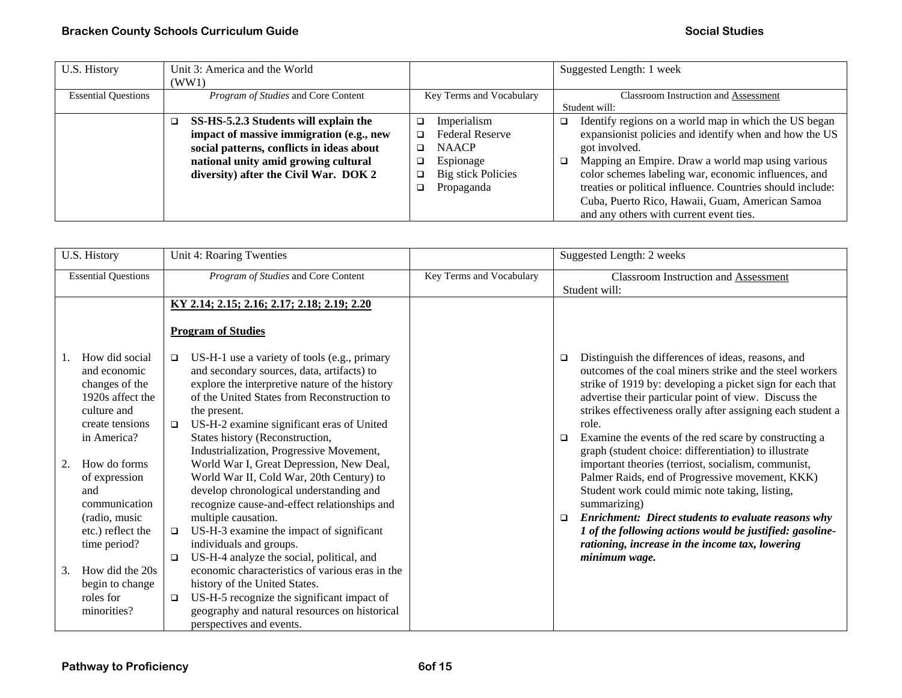| U.S. History               | Unit 3: America and the World              |                                     | Suggested Length: 1 week                                   |  |
|----------------------------|--------------------------------------------|-------------------------------------|------------------------------------------------------------|--|
|                            | (WW1)                                      |                                     |                                                            |  |
| <b>Essential Questions</b> | Program of Studies and Core Content        | Key Terms and Vocabulary            | <b>Classroom Instruction and Assessment</b>                |  |
|                            |                                            |                                     | Student will:                                              |  |
|                            | SS-HS-5.2.3 Students will explain the<br>□ | Imperialism<br>$\Box$               | Identify regions on a world map in which the US began<br>□ |  |
|                            | impact of massive immigration (e.g., new   | <b>Federal Reserve</b><br>◻         | expansionist policies and identify when and how the US     |  |
|                            | social patterns, conflicts in ideas about  | <b>NAACP</b><br>□                   | got involved.                                              |  |
|                            | national unity amid growing cultural       | Espionage<br>$\Box$                 | Mapping an Empire. Draw a world map using various<br>o.    |  |
|                            | diversity) after the Civil War. DOK 2      | <b>Big stick Policies</b><br>$\Box$ | color schemes labeling war, economic influences, and       |  |
|                            |                                            | Propaganda                          | treaties or political influence. Countries should include: |  |
|                            |                                            |                                     | Cuba, Puerto Rico, Hawaii, Guam, American Samoa            |  |
|                            |                                            |                                     | and any others with current event ties.                    |  |

| U.S. History                                                                                                                                                                                                                               | Unit 4: Roaring Twenties                                                                                                                                                                                                                                                                                                                                                                                                                                                                                                                                                                                                                               |  | Suggested Length: 2 weeks                                                                                                                                                                                                                                                                                                                                                                                                                                                                                                                                                                                                                                                                                                                                                                                   |  |
|--------------------------------------------------------------------------------------------------------------------------------------------------------------------------------------------------------------------------------------------|--------------------------------------------------------------------------------------------------------------------------------------------------------------------------------------------------------------------------------------------------------------------------------------------------------------------------------------------------------------------------------------------------------------------------------------------------------------------------------------------------------------------------------------------------------------------------------------------------------------------------------------------------------|--|-------------------------------------------------------------------------------------------------------------------------------------------------------------------------------------------------------------------------------------------------------------------------------------------------------------------------------------------------------------------------------------------------------------------------------------------------------------------------------------------------------------------------------------------------------------------------------------------------------------------------------------------------------------------------------------------------------------------------------------------------------------------------------------------------------------|--|
| <b>Essential Questions</b>                                                                                                                                                                                                                 | Program of Studies and Core Content<br>Key Terms and Vocabulary                                                                                                                                                                                                                                                                                                                                                                                                                                                                                                                                                                                        |  | <b>Classroom Instruction and Assessment</b><br>Student will:                                                                                                                                                                                                                                                                                                                                                                                                                                                                                                                                                                                                                                                                                                                                                |  |
|                                                                                                                                                                                                                                            | KY 2.14; 2.15; 2.16; 2.17; 2.18; 2.19; 2.20<br><b>Program of Studies</b>                                                                                                                                                                                                                                                                                                                                                                                                                                                                                                                                                                               |  |                                                                                                                                                                                                                                                                                                                                                                                                                                                                                                                                                                                                                                                                                                                                                                                                             |  |
| How did social<br>and economic<br>changes of the<br>1920s affect the<br>culture and<br>create tensions<br>in America?<br>How do forms<br>2.<br>of expression<br>and<br>communication<br>(radio, music<br>etc.) reflect the<br>time period? | US-H-1 use a variety of tools (e.g., primary<br>$\Box$<br>and secondary sources, data, artifacts) to<br>explore the interpretive nature of the history<br>of the United States from Reconstruction to<br>the present.<br>US-H-2 examine significant eras of United<br>$\Box$<br>States history (Reconstruction,<br>Industrialization, Progressive Movement,<br>World War I, Great Depression, New Deal,<br>World War II, Cold War, 20th Century) to<br>develop chronological understanding and<br>recognize cause-and-effect relationships and<br>multiple causation.<br>US-H-3 examine the impact of significant<br>$\Box$<br>individuals and groups. |  | Distinguish the differences of ideas, reasons, and<br>□<br>outcomes of the coal miners strike and the steel workers<br>strike of 1919 by: developing a picket sign for each that<br>advertise their particular point of view. Discuss the<br>strikes effectiveness orally after assigning each student a<br>role.<br>Examine the events of the red scare by constructing a<br>▫<br>graph (student choice: differentiation) to illustrate<br>important theories (terriost, socialism, communist,<br>Palmer Raids, end of Progressive movement, KKK)<br>Student work could mimic note taking, listing,<br>summarizing)<br><b>Enrichment: Direct students to evaluate reasons why</b><br>$\Box$<br>1 of the following actions would be justified: gasoline-<br>rationing, increase in the income tax, lowering |  |
| How did the 20s<br>3.<br>begin to change<br>roles for<br>minorities?                                                                                                                                                                       | US-H-4 analyze the social, political, and<br>$\Box$<br>economic characteristics of various eras in the<br>history of the United States.<br>US-H-5 recognize the significant impact of<br>$\Box$<br>geography and natural resources on historical<br>perspectives and events.                                                                                                                                                                                                                                                                                                                                                                           |  | minimum wage.                                                                                                                                                                                                                                                                                                                                                                                                                                                                                                                                                                                                                                                                                                                                                                                               |  |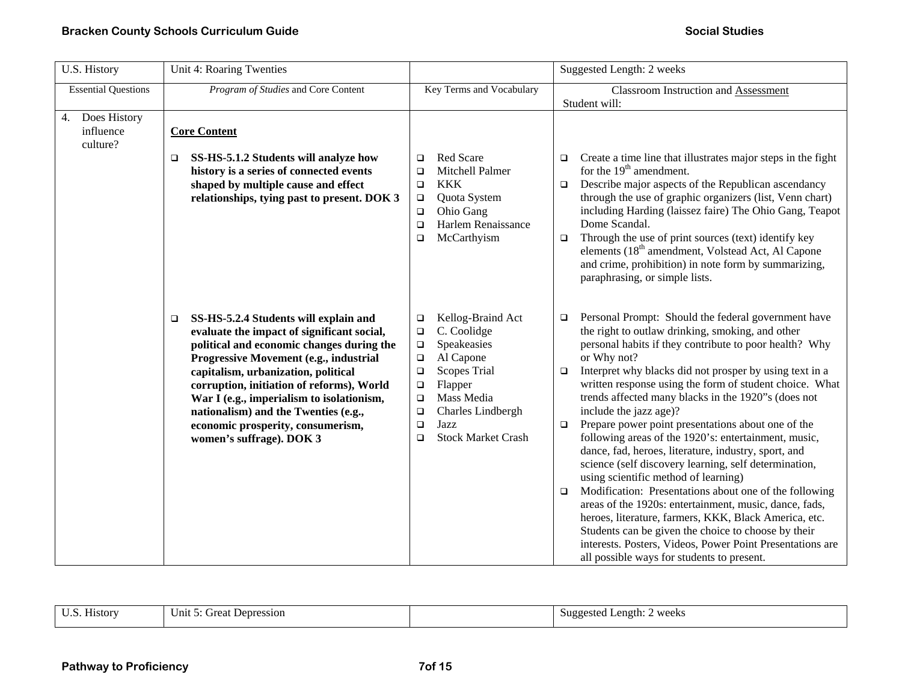| U.S. History                                | Unit 4: Roaring Twenties                                                                                                                                                                                                                                                                                                                                                                                                       |                                                                                                                                                                                                                                                                            | Suggested Length: 2 weeks                                                                                                                                                                                                                                                                                                                                                                                                                                                                                                                                                                                                                                                                                                                                                                                                                                                                                                                                                                                                                             |
|---------------------------------------------|--------------------------------------------------------------------------------------------------------------------------------------------------------------------------------------------------------------------------------------------------------------------------------------------------------------------------------------------------------------------------------------------------------------------------------|----------------------------------------------------------------------------------------------------------------------------------------------------------------------------------------------------------------------------------------------------------------------------|-------------------------------------------------------------------------------------------------------------------------------------------------------------------------------------------------------------------------------------------------------------------------------------------------------------------------------------------------------------------------------------------------------------------------------------------------------------------------------------------------------------------------------------------------------------------------------------------------------------------------------------------------------------------------------------------------------------------------------------------------------------------------------------------------------------------------------------------------------------------------------------------------------------------------------------------------------------------------------------------------------------------------------------------------------|
| <b>Essential Questions</b>                  | Program of Studies and Core Content                                                                                                                                                                                                                                                                                                                                                                                            | Key Terms and Vocabulary                                                                                                                                                                                                                                                   | Classroom Instruction and Assessment<br>Student will:                                                                                                                                                                                                                                                                                                                                                                                                                                                                                                                                                                                                                                                                                                                                                                                                                                                                                                                                                                                                 |
| Does History<br>4.<br>influence<br>culture? | <b>Core Content</b><br>SS-HS-5.1.2 Students will analyze how<br>□<br>history is a series of connected events<br>shaped by multiple cause and effect<br>relationships, tying past to present. DOK 3                                                                                                                                                                                                                             | Red Scare<br>$\Box$<br>Mitchell Palmer<br>$\Box$<br><b>KKK</b><br>$\Box$<br>Quota System<br>$\Box$<br>Ohio Gang<br>$\Box$<br>Harlem Renaissance<br>$\Box$<br>McCarthyism<br>$\Box$                                                                                         | Create a time line that illustrates major steps in the fight<br>$\Box$<br>for the $19th$ amendment.<br>Describe major aspects of the Republican ascendancy<br>$\Box$<br>through the use of graphic organizers (list, Venn chart)<br>including Harding (laissez faire) The Ohio Gang, Teapot<br>Dome Scandal.<br>Through the use of print sources (text) identify key<br>$\Box$<br>elements (18 <sup>th</sup> amendment, Volstead Act, Al Capone<br>and crime, prohibition) in note form by summarizing,<br>paraphrasing, or simple lists.                                                                                                                                                                                                                                                                                                                                                                                                                                                                                                             |
|                                             | SS-HS-5.2.4 Students will explain and<br>$\Box$<br>evaluate the impact of significant social,<br>political and economic changes during the<br>Progressive Movement (e.g., industrial<br>capitalism, urbanization, political<br>corruption, initiation of reforms), World<br>War I (e.g., imperialism to isolationism,<br>nationalism) and the Twenties (e.g.,<br>economic prosperity, consumerism,<br>women's suffrage). DOK 3 | Kellog-Braind Act<br>$\Box$<br>C. Coolidge<br>$\Box$<br>Speakeasies<br>$\Box$<br>Al Capone<br>$\Box$<br><b>Scopes Trial</b><br>$\Box$<br>Flapper<br>$\Box$<br>Mass Media<br>$\Box$<br>Charles Lindbergh<br>$\Box$<br>Jazz<br>$\Box$<br><b>Stock Market Crash</b><br>$\Box$ | Personal Prompt: Should the federal government have<br>$\Box$<br>the right to outlaw drinking, smoking, and other<br>personal habits if they contribute to poor health? Why<br>or Why not?<br>Interpret why blacks did not prosper by using text in a<br>$\Box$<br>written response using the form of student choice. What<br>trends affected many blacks in the 1920"s (does not<br>include the jazz age)?<br>Prepare power point presentations about one of the<br>$\Box$<br>following areas of the 1920's: entertainment, music,<br>dance, fad, heroes, literature, industry, sport, and<br>science (self discovery learning, self determination,<br>using scientific method of learning)<br>Modification: Presentations about one of the following<br>$\Box$<br>areas of the 1920s: entertainment, music, dance, fads,<br>heroes, literature, farmers, KKK, Black America, etc.<br>Students can be given the choice to choose by their<br>interests. Posters, Videos, Power Point Presentations are<br>all possible ways for students to present. |

| $ -$<br>$\cdots$ | $ -$<br>History | Unit 5<br>cireat<br>: Depression |  | weeks<br>. ength:<br>Suggested<br>. .<br>ີ |
|------------------|-----------------|----------------------------------|--|--------------------------------------------|
|------------------|-----------------|----------------------------------|--|--------------------------------------------|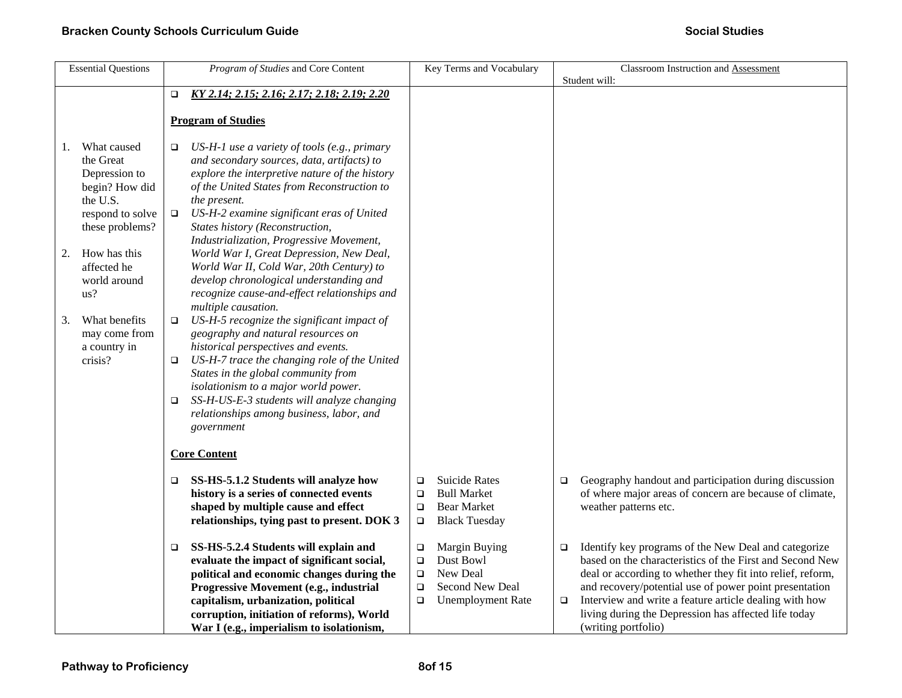|    | <b>Essential Questions</b>                                                                                     |                            | Program of Studies and Core Content                                                                                                                                                                                                                                                                                                                            |                                                | Key Terms and Vocabulary                                                                 |                  | Classroom Instruction and Assessment<br>Student will:                                                                                                                                                                                                                                                                                                                             |
|----|----------------------------------------------------------------------------------------------------------------|----------------------------|----------------------------------------------------------------------------------------------------------------------------------------------------------------------------------------------------------------------------------------------------------------------------------------------------------------------------------------------------------------|------------------------------------------------|------------------------------------------------------------------------------------------|------------------|-----------------------------------------------------------------------------------------------------------------------------------------------------------------------------------------------------------------------------------------------------------------------------------------------------------------------------------------------------------------------------------|
|    |                                                                                                                | $\Box$                     | KY 2.14; 2.15; 2.16; 2.17; 2.18; 2.19; 2.20                                                                                                                                                                                                                                                                                                                    |                                                |                                                                                          |                  |                                                                                                                                                                                                                                                                                                                                                                                   |
|    |                                                                                                                |                            | <b>Program of Studies</b>                                                                                                                                                                                                                                                                                                                                      |                                                |                                                                                          |                  |                                                                                                                                                                                                                                                                                                                                                                                   |
| 1. | What caused<br>the Great<br>Depression to<br>begin? How did<br>the U.S.<br>respond to solve<br>these problems? | $\Box$<br>$\Box$           | US-H-1 use a variety of tools (e.g., primary<br>and secondary sources, data, artifacts) to<br>explore the interpretive nature of the history<br>of the United States from Reconstruction to<br>the present.<br>US-H-2 examine significant eras of United<br>States history (Reconstruction,                                                                    |                                                |                                                                                          |                  |                                                                                                                                                                                                                                                                                                                                                                                   |
| 2. | How has this<br>affected he<br>world around<br>us?                                                             |                            | Industrialization, Progressive Movement,<br>World War I, Great Depression, New Deal,<br>World War II, Cold War, 20th Century) to<br>develop chronological understanding and<br>recognize cause-and-effect relationships and<br>multiple causation.                                                                                                             |                                                |                                                                                          |                  |                                                                                                                                                                                                                                                                                                                                                                                   |
| 3. | What benefits<br>may come from<br>a country in<br>crisis?                                                      | $\Box$<br>$\Box$<br>$\Box$ | US-H-5 recognize the significant impact of<br>geography and natural resources on<br>historical perspectives and events.<br>US-H-7 trace the changing role of the United<br>States in the global community from<br>isolationism to a major world power.<br>SS-H-US-E-3 students will analyze changing<br>relationships among business, labor, and<br>government |                                                |                                                                                          |                  |                                                                                                                                                                                                                                                                                                                                                                                   |
|    |                                                                                                                |                            | <b>Core Content</b>                                                                                                                                                                                                                                                                                                                                            |                                                |                                                                                          |                  |                                                                                                                                                                                                                                                                                                                                                                                   |
|    |                                                                                                                | □                          | SS-HS-5.1.2 Students will analyze how<br>history is a series of connected events<br>shaped by multiple cause and effect<br>relationships, tying past to present. DOK 3                                                                                                                                                                                         | $\Box$<br>$\Box$<br>$\Box$<br>$\Box$           | <b>Suicide Rates</b><br><b>Bull Market</b><br><b>Bear Market</b><br><b>Black Tuesday</b> | $\Box$           | Geography handout and participation during discussion<br>of where major areas of concern are because of climate,<br>weather patterns etc.                                                                                                                                                                                                                                         |
|    |                                                                                                                | $\Box$                     | SS-HS-5.2.4 Students will explain and<br>evaluate the impact of significant social,<br>political and economic changes during the<br>Progressive Movement (e.g., industrial<br>capitalism, urbanization, political<br>corruption, initiation of reforms), World<br>War I (e.g., imperialism to isolationism,                                                    | $\Box$<br>$\Box$<br>$\Box$<br>$\Box$<br>$\Box$ | Margin Buying<br>Dust Bowl<br>New Deal<br>Second New Deal<br><b>Unemployment Rate</b>    | $\Box$<br>$\Box$ | Identify key programs of the New Deal and categorize<br>based on the characteristics of the First and Second New<br>deal or according to whether they fit into relief, reform,<br>and recovery/potential use of power point presentation<br>Interview and write a feature article dealing with how<br>living during the Depression has affected life today<br>(writing portfolio) |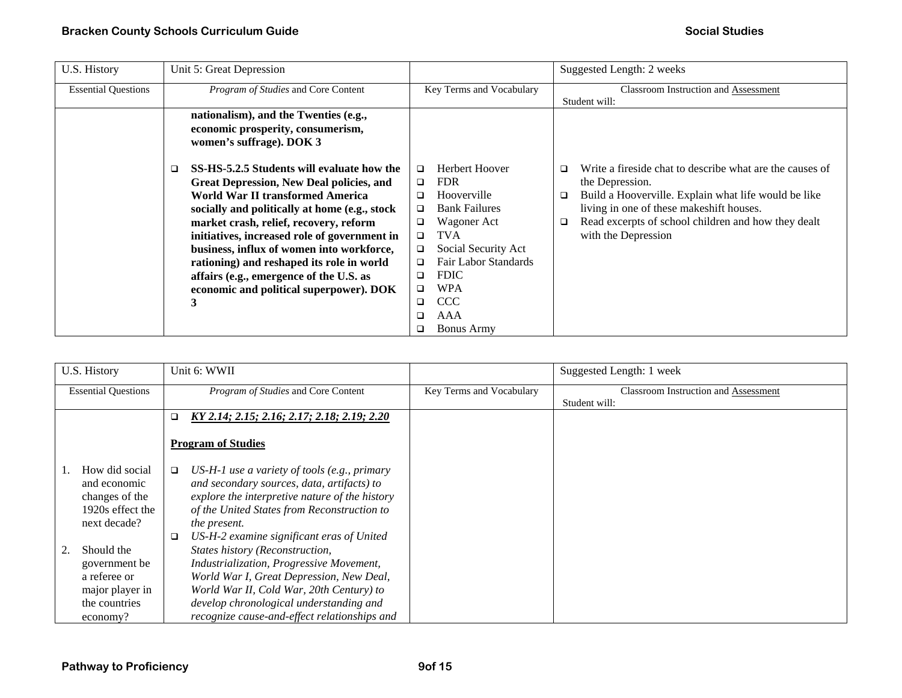| U.S. History               | Unit 5: Great Depression                        |                                | Suggested Length: 2 weeks                                     |
|----------------------------|-------------------------------------------------|--------------------------------|---------------------------------------------------------------|
| <b>Essential Questions</b> | Program of Studies and Core Content             | Key Terms and Vocabulary       | <b>Classroom Instruction and Assessment</b>                   |
|                            |                                                 |                                | Student will:                                                 |
|                            | nationalism), and the Twenties (e.g.,           |                                |                                                               |
|                            | economic prosperity, consumerism,               |                                |                                                               |
|                            | women's suffrage). DOK 3                        |                                |                                                               |
|                            |                                                 |                                |                                                               |
|                            | SS-HS-5.2.5 Students will evaluate how the<br>□ | Herbert Hoover<br>$\Box$       | Write a fireside chat to describe what are the causes of<br>□ |
|                            | <b>Great Depression, New Deal policies, and</b> | <b>FDR</b><br>$\Box$           | the Depression.                                               |
|                            | World War II transformed America                | Hooverville<br>$\Box$          | Build a Hooverville. Explain what life would be like<br>□     |
|                            | socially and politically at home (e.g., stock   | <b>Bank Failures</b><br>$\Box$ | living in one of these makeshift houses.                      |
|                            | market crash, relief, recovery, reform          | Wagoner Act<br>$\Box$          | Read excerpts of school children and how they dealt<br>□      |
|                            | initiatives, increased role of government in    | <b>TVA</b><br>$\Box$           | with the Depression                                           |
|                            | business, influx of women into workforce,       | Social Security Act<br>$\Box$  |                                                               |
|                            | rationing) and reshaped its role in world       | Fair Labor Standards<br>$\Box$ |                                                               |
|                            | affairs (e.g., emergence of the U.S. as         | <b>FDIC</b><br>$\Box$          |                                                               |
|                            | economic and political superpower). DOK         | WPA<br>□                       |                                                               |
|                            | 3                                               | <b>CCC</b><br>$\Box$           |                                                               |
|                            |                                                 | AAA<br>□                       |                                                               |
|                            |                                                 | <b>Bonus Army</b><br>□         |                                                               |

| U.S. History                                                                                      | Unit 6: WWII                                                                                                                                                                                                                                                                                                     |                          | Suggested Length: 1 week                    |
|---------------------------------------------------------------------------------------------------|------------------------------------------------------------------------------------------------------------------------------------------------------------------------------------------------------------------------------------------------------------------------------------------------------------------|--------------------------|---------------------------------------------|
| <b>Essential Questions</b>                                                                        | Program of Studies and Core Content                                                                                                                                                                                                                                                                              | Key Terms and Vocabulary | <b>Classroom Instruction and Assessment</b> |
|                                                                                                   |                                                                                                                                                                                                                                                                                                                  |                          | Student will:                               |
|                                                                                                   | <u>KY 2.14; 2.15; 2.16; 2.17; 2.18; 2.19; 2.20</u><br>$\Box$                                                                                                                                                                                                                                                     |                          |                                             |
|                                                                                                   |                                                                                                                                                                                                                                                                                                                  |                          |                                             |
|                                                                                                   | <b>Program of Studies</b>                                                                                                                                                                                                                                                                                        |                          |                                             |
| How did social<br>and economic<br>changes of the<br>1920s effect the<br>next decade?              | US-H-1 use a variety of tools (e.g., primary<br>$\Box$<br>and secondary sources, data, artifacts) to<br>explore the interpretive nature of the history<br>of the United States from Reconstruction to<br>the present.                                                                                            |                          |                                             |
| Should the<br>2.<br>government be<br>a referee or<br>major player in<br>the countries<br>economy? | US-H-2 examine significant eras of United<br>□<br>States history (Reconstruction,<br>Industrialization, Progressive Movement,<br>World War I, Great Depression, New Deal,<br>World War II, Cold War, 20th Century) to<br>develop chronological understanding and<br>recognize cause-and-effect relationships and |                          |                                             |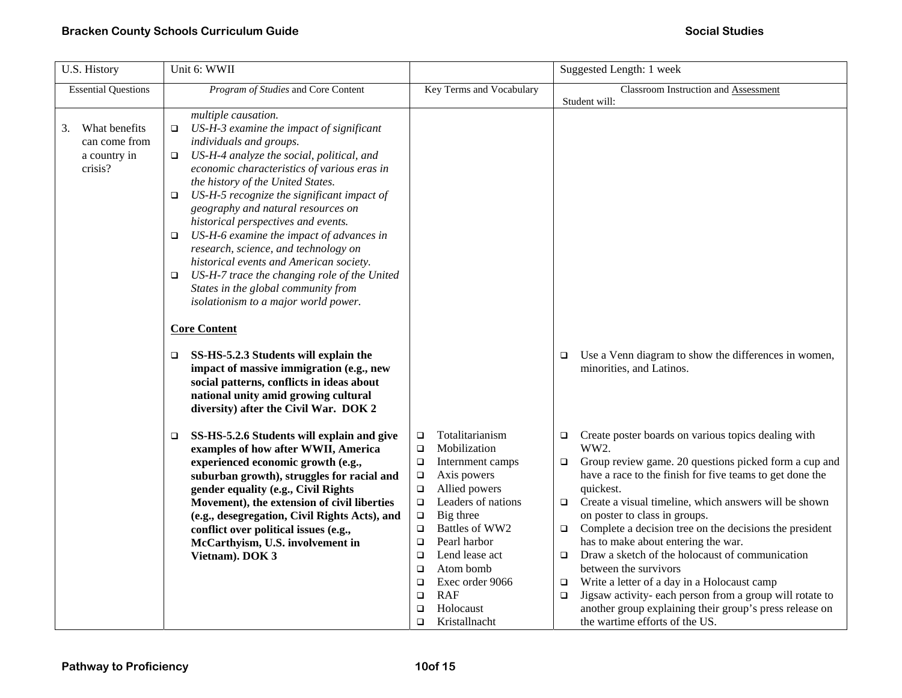| U.S. History                                                    | Unit 6: WWII                                                                                                                                                                                                                                                                                                                                                                                                                                                                                                                                                                                                                                                                                                                                                                                                                                                                                                                                                                                                                                                                                                                                                                                                                                                                                                                          |                                                                                                                                                                                                                                                                                                                                                                                                              | Suggested Length: 1 week                                                                                                                                                                                                                                                                                                                                                                                                                                                                                                                                                                                                                                                                                                                                                                                                                     |
|-----------------------------------------------------------------|---------------------------------------------------------------------------------------------------------------------------------------------------------------------------------------------------------------------------------------------------------------------------------------------------------------------------------------------------------------------------------------------------------------------------------------------------------------------------------------------------------------------------------------------------------------------------------------------------------------------------------------------------------------------------------------------------------------------------------------------------------------------------------------------------------------------------------------------------------------------------------------------------------------------------------------------------------------------------------------------------------------------------------------------------------------------------------------------------------------------------------------------------------------------------------------------------------------------------------------------------------------------------------------------------------------------------------------|--------------------------------------------------------------------------------------------------------------------------------------------------------------------------------------------------------------------------------------------------------------------------------------------------------------------------------------------------------------------------------------------------------------|----------------------------------------------------------------------------------------------------------------------------------------------------------------------------------------------------------------------------------------------------------------------------------------------------------------------------------------------------------------------------------------------------------------------------------------------------------------------------------------------------------------------------------------------------------------------------------------------------------------------------------------------------------------------------------------------------------------------------------------------------------------------------------------------------------------------------------------------|
| <b>Essential Questions</b>                                      | Program of Studies and Core Content                                                                                                                                                                                                                                                                                                                                                                                                                                                                                                                                                                                                                                                                                                                                                                                                                                                                                                                                                                                                                                                                                                                                                                                                                                                                                                   | Key Terms and Vocabulary                                                                                                                                                                                                                                                                                                                                                                                     | Classroom Instruction and Assessment<br>Student will:                                                                                                                                                                                                                                                                                                                                                                                                                                                                                                                                                                                                                                                                                                                                                                                        |
| What benefits<br>3.<br>can come from<br>a country in<br>crisis? | multiple causation.<br>US-H-3 examine the impact of significant<br>$\Box$<br>individuals and groups.<br>US-H-4 analyze the social, political, and<br>о<br>economic characteristics of various eras in<br>the history of the United States.<br>US-H-5 recognize the significant impact of<br>$\Box$<br>geography and natural resources on<br>historical perspectives and events.<br>US-H-6 examine the impact of advances in<br>$\Box$<br>research, science, and technology on<br>historical events and American society.<br>US-H-7 trace the changing role of the United<br>▫<br>States in the global community from<br>isolationism to a major world power.<br><b>Core Content</b><br>SS-HS-5.2.3 Students will explain the<br>❏<br>impact of massive immigration (e.g., new<br>social patterns, conflicts in ideas about<br>national unity amid growing cultural<br>diversity) after the Civil War. DOK 2<br>SS-HS-5.2.6 Students will explain and give<br>$\Box$<br>examples of how after WWII, America<br>experienced economic growth (e.g.,<br>suburban growth), struggles for racial and<br>gender equality (e.g., Civil Rights<br>Movement), the extension of civil liberties<br>(e.g., desegregation, Civil Rights Acts), and<br>conflict over political issues (e.g.,<br>McCarthyism, U.S. involvement in<br>Vietnam). DOK 3 | Totalitarianism<br>$\Box$<br>Mobilization<br>$\Box$<br>Internment camps<br>$\Box$<br>Axis powers<br>$\Box$<br>$\Box$<br>Allied powers<br>Leaders of nations<br>$\Box$<br>$\Box$<br>Big three<br>Battles of WW2<br>$\Box$<br>Pearl harbor<br>$\Box$<br>Lend lease act<br>$\Box$<br>Atom bomb<br>$\Box$<br>Exec order 9066<br>$\Box$<br><b>RAF</b><br>$\Box$<br>Holocaust<br>$\Box$<br>Kristallnacht<br>$\Box$ | Use a Venn diagram to show the differences in women,<br>□<br>minorities, and Latinos.<br>Create poster boards on various topics dealing with<br>$\Box$<br>WW2.<br>Group review game. 20 questions picked form a cup and<br>$\Box$<br>have a race to the finish for five teams to get done the<br>quickest.<br>Create a visual timeline, which answers will be shown<br>$\Box$<br>on poster to class in groups.<br>Complete a decision tree on the decisions the president<br>$\Box$<br>has to make about entering the war.<br>Draw a sketch of the holocaust of communication<br>$\Box$<br>between the survivors<br>Write a letter of a day in a Holocaust camp<br>$\Box$<br>Jigsaw activity- each person from a group will rotate to<br>$\Box$<br>another group explaining their group's press release on<br>the wartime efforts of the US. |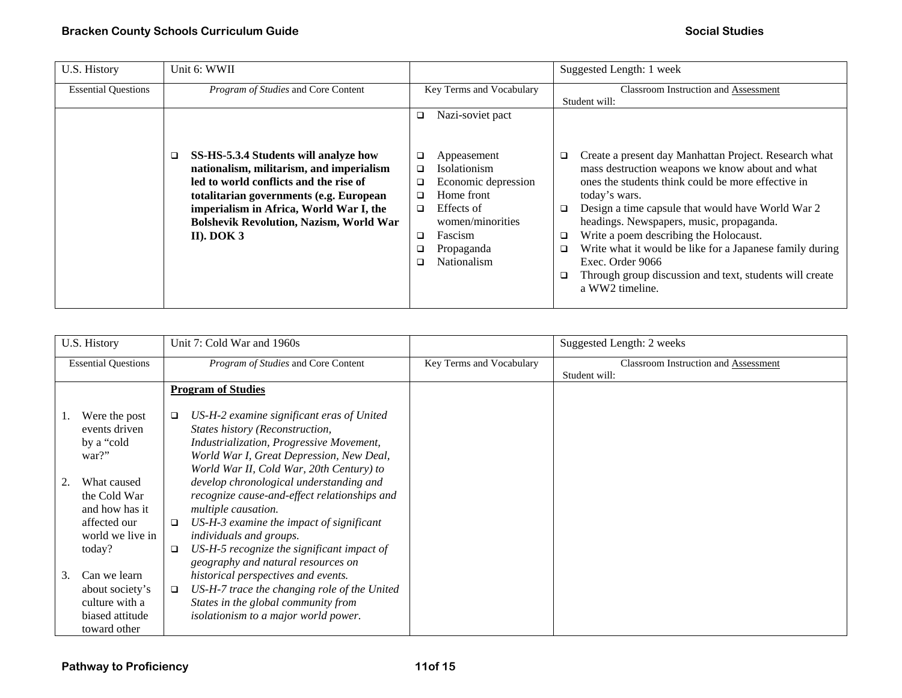| U.S. History               | Unit 6: WWII                                                                                                                                                                                                      |                                                                                                                     | Suggested Length: 1 week                                                                                                                                                                                                                       |
|----------------------------|-------------------------------------------------------------------------------------------------------------------------------------------------------------------------------------------------------------------|---------------------------------------------------------------------------------------------------------------------|------------------------------------------------------------------------------------------------------------------------------------------------------------------------------------------------------------------------------------------------|
| <b>Essential Questions</b> | Program of Studies and Core Content                                                                                                                                                                               | Key Terms and Vocabulary                                                                                            | <b>Classroom Instruction and Assessment</b>                                                                                                                                                                                                    |
|                            |                                                                                                                                                                                                                   |                                                                                                                     | Student will:                                                                                                                                                                                                                                  |
|                            |                                                                                                                                                                                                                   | Nazi-soviet pact<br>▫                                                                                               |                                                                                                                                                                                                                                                |
|                            | SS-HS-5.3.4 Students will analyze how<br>nationalism, militarism, and imperialism<br>led to world conflicts and the rise of<br>totalitarian governments (e.g. European<br>imperialism in Africa, World War I, the | Appeasement<br>❏<br><b>Isolationism</b><br>□<br>Economic depression<br>$\Box$<br>Home front<br>□<br>Effects of<br>□ | Create a present day Manhattan Project. Research what<br>□<br>mass destruction weapons we know about and what<br>ones the students think could be more effective in<br>today's wars.<br>Design a time capsule that would have World War 2<br>□ |
|                            | <b>Bolshevik Revolution, Nazism, World War</b>                                                                                                                                                                    | women/minorities                                                                                                    | headings. Newspapers, music, propaganda.                                                                                                                                                                                                       |
|                            | II). DOK $3$                                                                                                                                                                                                      | Fascism<br>❏                                                                                                        | Write a poem describing the Holocaust.<br>$\Box$                                                                                                                                                                                               |
|                            |                                                                                                                                                                                                                   | Propaganda                                                                                                          | Write what it would be like for a Japanese family during<br>□                                                                                                                                                                                  |
|                            |                                                                                                                                                                                                                   | Nationalism                                                                                                         | Exec. Order 9066                                                                                                                                                                                                                               |
|                            |                                                                                                                                                                                                                   |                                                                                                                     | Through group discussion and text, students will create<br>$\Box$<br>a WW2 timeline.                                                                                                                                                           |

|    | U.S. History                                                                                | Unit 7: Cold War and 1960s                                                                                                                                                                                                                                                                    |                          | Suggested Length: 2 weeks                                    |
|----|---------------------------------------------------------------------------------------------|-----------------------------------------------------------------------------------------------------------------------------------------------------------------------------------------------------------------------------------------------------------------------------------------------|--------------------------|--------------------------------------------------------------|
|    | <b>Essential Questions</b>                                                                  | Program of Studies and Core Content                                                                                                                                                                                                                                                           | Key Terms and Vocabulary | <b>Classroom Instruction and Assessment</b><br>Student will: |
|    |                                                                                             | <b>Program of Studies</b>                                                                                                                                                                                                                                                                     |                          |                                                              |
|    | Were the post<br>events driven<br>by a "cold<br>war?"                                       | US-H-2 examine significant eras of United<br>$\Box$<br>States history (Reconstruction,<br>Industrialization, Progressive Movement,<br>World War I, Great Depression, New Deal,<br>World War II, Cold War, 20th Century) to                                                                    |                          |                                                              |
|    | What caused<br>the Cold War<br>and how has it<br>affected our<br>world we live in<br>today? | develop chronological understanding and<br>recognize cause-and-effect relationships and<br>multiple causation.<br>US-H-3 examine the impact of significant<br>$\Box$<br>individuals and groups.<br>US-H-5 recognize the significant impact of<br>$\Box$<br>geography and natural resources on |                          |                                                              |
| 3. | Can we learn<br>about society's<br>culture with a<br>biased attitude<br>toward other        | historical perspectives and events.<br>US-H-7 trace the changing role of the United<br>$\Box$<br>States in the global community from<br>isolationism to a major world power.                                                                                                                  |                          |                                                              |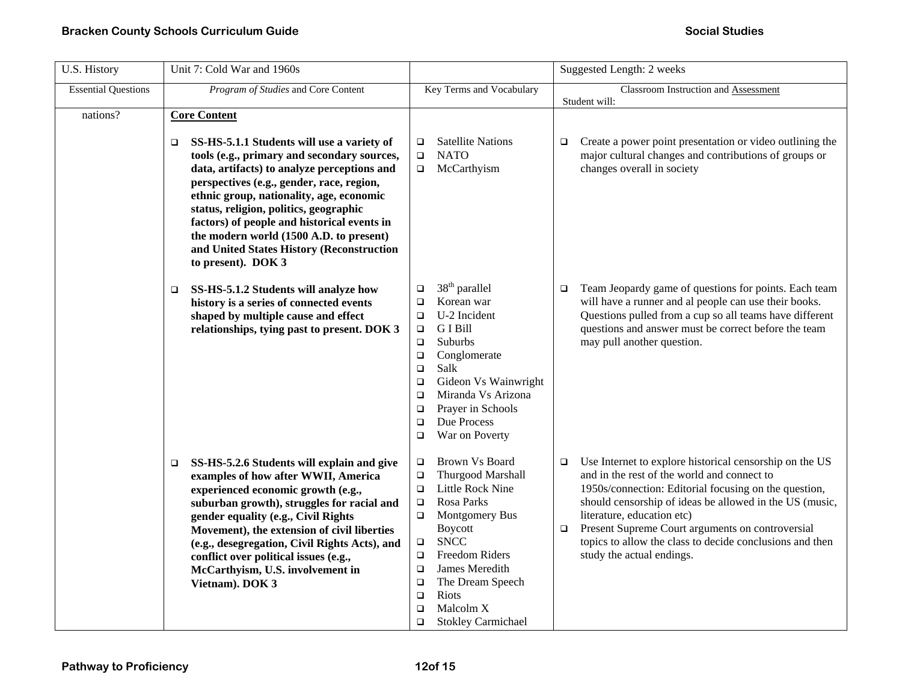| U.S. History               | Unit 7: Cold War and 1960s                                                                                                                                                                                                                                                                                                                                                                                                                                           |                                                                                                                                                                                                                                                                                                                                                             | Suggested Length: 2 weeks                                                                                                                                                                                                                                                                                                                                                                                                 |
|----------------------------|----------------------------------------------------------------------------------------------------------------------------------------------------------------------------------------------------------------------------------------------------------------------------------------------------------------------------------------------------------------------------------------------------------------------------------------------------------------------|-------------------------------------------------------------------------------------------------------------------------------------------------------------------------------------------------------------------------------------------------------------------------------------------------------------------------------------------------------------|---------------------------------------------------------------------------------------------------------------------------------------------------------------------------------------------------------------------------------------------------------------------------------------------------------------------------------------------------------------------------------------------------------------------------|
| <b>Essential Questions</b> | Program of Studies and Core Content                                                                                                                                                                                                                                                                                                                                                                                                                                  | Key Terms and Vocabulary                                                                                                                                                                                                                                                                                                                                    | Classroom Instruction and Assessment<br>Student will:                                                                                                                                                                                                                                                                                                                                                                     |
| nations?                   | <b>Core Content</b><br>SS-HS-5.1.1 Students will use a variety of<br>□<br>tools (e.g., primary and secondary sources,<br>data, artifacts) to analyze perceptions and<br>perspectives (e.g., gender, race, region,<br>ethnic group, nationality, age, economic<br>status, religion, politics, geographic<br>factors) of people and historical events in<br>the modern world (1500 A.D. to present)<br>and United States History (Reconstruction<br>to present). DOK 3 | <b>Satellite Nations</b><br>$\Box$<br><b>NATO</b><br>$\Box$<br>McCarthyism<br>$\Box$                                                                                                                                                                                                                                                                        | Create a power point presentation or video outlining the<br>$\Box$<br>major cultural changes and contributions of groups or<br>changes overall in society                                                                                                                                                                                                                                                                 |
|                            | SS-HS-5.1.2 Students will analyze how<br>$\Box$<br>history is a series of connected events<br>shaped by multiple cause and effect<br>relationships, tying past to present. DOK 3                                                                                                                                                                                                                                                                                     | 38 <sup>th</sup> parallel<br>$\Box$<br>Korean war<br>$\Box$<br>U-2 Incident<br>$\Box$<br>G I Bill<br>$\Box$<br>Suburbs<br>$\Box$<br>Conglomerate<br>$\Box$<br>Salk<br>$\Box$<br>Gideon Vs Wainwright<br>$\Box$<br>Miranda Vs Arizona<br>$\Box$<br>Prayer in Schools<br>$\Box$<br>Due Process<br>$\Box$<br>War on Poverty<br>$\Box$                          | Team Jeopardy game of questions for points. Each team<br>$\Box$<br>will have a runner and al people can use their books.<br>Questions pulled from a cup so all teams have different<br>questions and answer must be correct before the team<br>may pull another question.                                                                                                                                                 |
|                            | SS-HS-5.2.6 Students will explain and give<br>□<br>examples of how after WWII, America<br>experienced economic growth (e.g.,<br>suburban growth), struggles for racial and<br>gender equality (e.g., Civil Rights<br>Movement), the extension of civil liberties<br>(e.g., desegregation, Civil Rights Acts), and<br>conflict over political issues (e.g.,<br>McCarthyism, U.S. involvement in<br>Vietnam). DOK 3                                                    | Brown Vs Board<br>$\Box$<br>Thurgood Marshall<br>$\Box$<br>Little Rock Nine<br>$\Box$<br>Rosa Parks<br>$\Box$<br>Montgomery Bus<br>$\Box$<br><b>Boycott</b><br><b>SNCC</b><br>$\Box$<br>Freedom Riders<br>$\Box$<br>James Meredith<br>$\Box$<br>The Dream Speech<br>$\Box$<br>Riots<br>$\Box$<br>Malcolm X<br>$\Box$<br><b>Stokley Carmichael</b><br>$\Box$ | Use Internet to explore historical censorship on the US<br>$\Box$<br>and in the rest of the world and connect to<br>1950s/connection: Editorial focusing on the question,<br>should censorship of ideas be allowed in the US (music,<br>literature, education etc)<br>Present Supreme Court arguments on controversial<br>$\Box$<br>topics to allow the class to decide conclusions and then<br>study the actual endings. |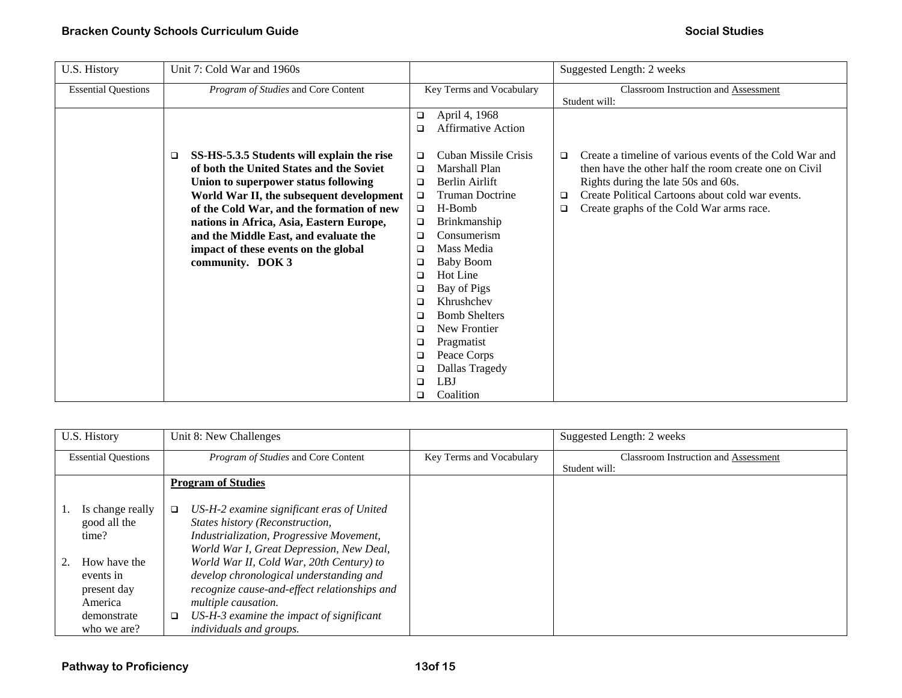| U.S. History               | Unit 7: Cold War and 1960s                      |                                | Suggested Length: 2 weeks                                         |
|----------------------------|-------------------------------------------------|--------------------------------|-------------------------------------------------------------------|
| <b>Essential Questions</b> | Program of Studies and Core Content             | Key Terms and Vocabulary       | Classroom Instruction and Assessment                              |
|                            |                                                 |                                | Student will:                                                     |
|                            |                                                 | April 4, 1968<br>$\Box$        |                                                                   |
|                            |                                                 | <b>Affirmative Action</b><br>□ |                                                                   |
|                            | SS-HS-5.3.5 Students will explain the rise<br>□ | Cuban Missile Crisis<br>❏      | Create a timeline of various events of the Cold War and<br>$\Box$ |
|                            | of both the United States and the Soviet        | Marshall Plan<br>□             | then have the other half the room create one on Civil             |
|                            | Union to superpower status following            | Berlin Airlift<br>□            | Rights during the late 50s and 60s.                               |
|                            |                                                 | <b>Truman Doctrine</b>         | Create Political Cartoons about cold war events.<br>▫             |
|                            | World War II, the subsequent development        | $\Box$                         |                                                                   |
|                            | of the Cold War, and the formation of new       | H-Bomb<br>$\Box$               | Create graphs of the Cold War arms race.<br>❏                     |
|                            | nations in Africa, Asia, Eastern Europe,        | Brinkmanship<br>$\Box$         |                                                                   |
|                            | and the Middle East, and evaluate the           | Consumerism<br>□               |                                                                   |
|                            | impact of these events on the global            | Mass Media<br>❏                |                                                                   |
|                            | community. DOK 3                                | <b>Baby Boom</b><br>❏          |                                                                   |
|                            |                                                 | Hot Line<br>□                  |                                                                   |
|                            |                                                 | Bay of Pigs<br>□               |                                                                   |
|                            |                                                 | Khrushchev<br>□                |                                                                   |
|                            |                                                 | <b>Bomb Shelters</b><br>$\Box$ |                                                                   |
|                            |                                                 | New Frontier<br>□              |                                                                   |
|                            |                                                 | Pragmatist<br>$\Box$           |                                                                   |
|                            |                                                 | Peace Corps<br>□               |                                                                   |
|                            |                                                 | Dallas Tragedy<br>□            |                                                                   |
|                            |                                                 | LBJ<br>□                       |                                                                   |
|                            |                                                 | Coalition<br>□                 |                                                                   |

| U.S. History               | Unit 8: New Challenges                              |                          | Suggested Length: 2 weeks                   |
|----------------------------|-----------------------------------------------------|--------------------------|---------------------------------------------|
| <b>Essential Questions</b> | Program of Studies and Core Content                 | Key Terms and Vocabulary | <b>Classroom Instruction and Assessment</b> |
|                            |                                                     |                          | Student will:                               |
|                            | <b>Program of Studies</b>                           |                          |                                             |
|                            |                                                     |                          |                                             |
| Is change really           | US-H-2 examine significant eras of United<br>$\Box$ |                          |                                             |
| good all the               | States history (Reconstruction,                     |                          |                                             |
| time?                      | Industrialization, Progressive Movement,            |                          |                                             |
|                            | World War I, Great Depression, New Deal,            |                          |                                             |
| How have the               | World War II, Cold War, 20th Century) to            |                          |                                             |
| events in                  | develop chronological understanding and             |                          |                                             |
| present day                | recognize cause-and-effect relationships and        |                          |                                             |
| America                    | multiple causation.                                 |                          |                                             |
| demonstrate                | US-H-3 examine the impact of significant<br>$\Box$  |                          |                                             |
| who we are?                | individuals and groups.                             |                          |                                             |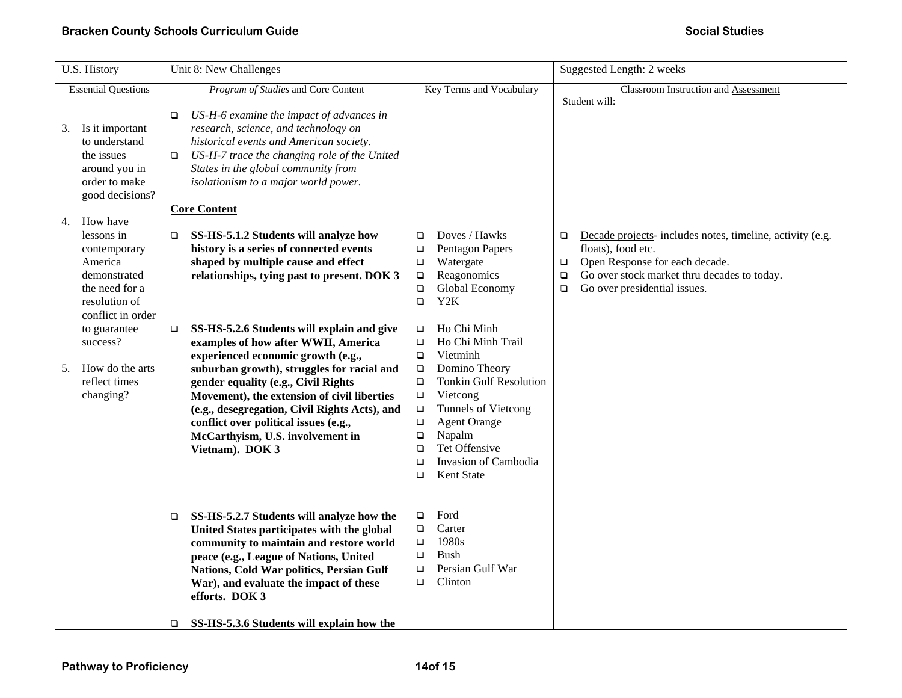| U.S. History                                                                                                                | Unit 8: New Challenges                                                                                                                                                                                                                                                                                                                                                                                                 |                                                                                                                                                                                                                                                                                                                                              | Suggested Length: 2 weeks                                                                                                                                                                                                                |
|-----------------------------------------------------------------------------------------------------------------------------|------------------------------------------------------------------------------------------------------------------------------------------------------------------------------------------------------------------------------------------------------------------------------------------------------------------------------------------------------------------------------------------------------------------------|----------------------------------------------------------------------------------------------------------------------------------------------------------------------------------------------------------------------------------------------------------------------------------------------------------------------------------------------|------------------------------------------------------------------------------------------------------------------------------------------------------------------------------------------------------------------------------------------|
| <b>Essential Questions</b>                                                                                                  | Program of Studies and Core Content                                                                                                                                                                                                                                                                                                                                                                                    | Key Terms and Vocabulary                                                                                                                                                                                                                                                                                                                     | Classroom Instruction and Assessment                                                                                                                                                                                                     |
| Is it important<br>3.<br>to understand<br>the issues<br>around you in<br>order to make<br>good decisions?<br>How have<br>4. | US-H-6 examine the impact of advances in<br>$\Box$<br>research, science, and technology on<br>historical events and American society.<br>US-H-7 trace the changing role of the United<br>$\Box$<br>States in the global community from<br>isolationism to a major world power.<br><b>Core Content</b>                                                                                                                  |                                                                                                                                                                                                                                                                                                                                              | Student will:                                                                                                                                                                                                                            |
| lessons in<br>contemporary<br>America<br>demonstrated<br>the need for a<br>resolution of<br>conflict in order               | SS-HS-5.1.2 Students will analyze how<br>$\Box$<br>history is a series of connected events<br>shaped by multiple cause and effect<br>relationships, tying past to present. DOK 3                                                                                                                                                                                                                                       | Doves / Hawks<br>$\Box$<br>Pentagon Papers<br>$\Box$<br>Watergate<br>$\Box$<br>Reagonomics<br>$\Box$<br>Global Economy<br>$\Box$<br>Y <sub>2</sub> K<br>$\Box$                                                                                                                                                                               | Decade projects- includes notes, timeline, activity (e.g.<br>$\Box$<br>floats), food etc.<br>Open Response for each decade.<br>$\Box$<br>Go over stock market thru decades to today.<br>$\Box$<br>Go over presidential issues.<br>$\Box$ |
| to guarantee<br>success?<br>How do the arts<br>5.<br>reflect times<br>changing?                                             | SS-HS-5.2.6 Students will explain and give<br>$\Box$<br>examples of how after WWII, America<br>experienced economic growth (e.g.,<br>suburban growth), struggles for racial and<br>gender equality (e.g., Civil Rights<br>Movement), the extension of civil liberties<br>(e.g., desegregation, Civil Rights Acts), and<br>conflict over political issues (e.g.,<br>McCarthyism, U.S. involvement in<br>Vietnam). DOK 3 | Ho Chi Minh<br>$\Box$<br>Ho Chi Minh Trail<br>$\Box$<br>Vietminh<br>$\Box$<br>Domino Theory<br>$\Box$<br><b>Tonkin Gulf Resolution</b><br>$\Box$<br>Vietcong<br>$\Box$<br>Tunnels of Vietcong<br>$\Box$<br>$\Box$<br><b>Agent Orange</b><br>Napalm<br>о<br>Tet Offensive<br>$\Box$<br>Invasion of Cambodia<br>$\Box$<br>Kent State<br>$\Box$ |                                                                                                                                                                                                                                          |
|                                                                                                                             | SS-HS-5.2.7 Students will analyze how the<br>□<br>United States participates with the global<br>community to maintain and restore world<br>peace (e.g., League of Nations, United<br>Nations, Cold War politics, Persian Gulf<br>War), and evaluate the impact of these<br>efforts. DOK 3<br>SS-HS-5.3.6 Students will explain how the<br>$\Box$                                                                       | Ford<br>$\Box$<br>Carter<br>$\Box$<br>1980s<br>$\Box$<br><b>Bush</b><br>$\Box$<br>Persian Gulf War<br>$\Box$<br>$\Box$<br>Clinton                                                                                                                                                                                                            |                                                                                                                                                                                                                                          |